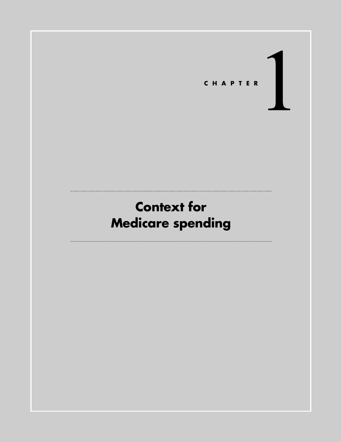

# **Context for Medicare spending**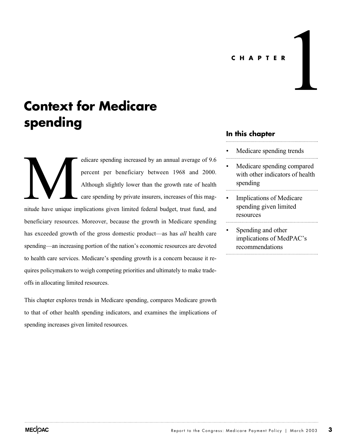# **CHAPTER** 1

## **Context for Medicare spending**

edicare spending increased by an annual average of 9.6 percent per beneficiary between 1968 and 2000. Although slightly lower than the growth rate of health care spending by private insurers, increases of this magnitude have unique implications given limited federal budget, trust fund, and beneficiary resources. Moreover, because the growth in Medicare spending has exceeded growth of the gross domestic product—as has *all* health care spending—an increasing portion of the nation's economic resources are devoted to health care services. Medicare's spending growth is a concern because it requires policymakers to weigh competing priorities and ultimately to make tradeoffs in allocating limited resources. Multe have unique in

This chapter explores trends in Medicare spending, compares Medicare growth to that of other health spending indicators, and examines the implications of spending increases given limited resources.

## **In this chapter**

- Medicare spending trends
- Medicare spending compared with other indicators of health spending
- Implications of Medicare spending given limited resources
- Spending and other implications of MedPAC's recommendations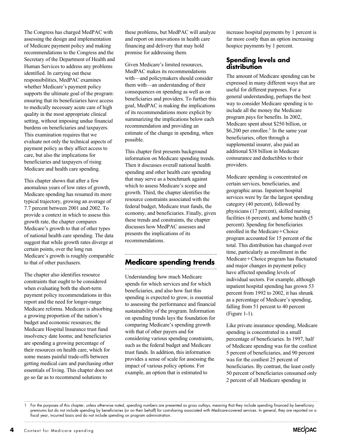The Congress has charged MedPAC with assessing the design and implementation of Medicare payment policy and making recommendations to the Congress and the Secretary of the Department of Health and Human Services to address any problems identified. In carrying out these responsibilities, MedPAC examines whether Medicare's payment policy supports the ultimate goal of the program: ensuring that its beneficiaries have access to medically necessary acute care of high quality in the most appropriate clinical setting, without imposing undue financial burdens on beneficiaries and taxpayers. This examination requires that we evaluate not only the technical aspects of payment policy as they affect access to care, but also the implications for beneficiaries and taxpayers of rising Medicare and health care spending.

This chapter shows that after a few anomalous years of low rates of growth, Medicare spending has resumed its more typical trajectory, growing an average of 7.7 percent between 2001 and 2002. To provide a context in which to assess this growth rate, the chapter compares Medicare's growth to that of other types of national health care spending. The data suggest that while growth rates diverge at certain points, over the long run Medicare's growth is roughly comparable to that of other purchasers.

The chapter also identifies resource constraints that ought to be considered when evaluating both the short-term payment policy recommendations in this report and the need for longer-range Medicare reforms. Medicare is absorbing a growing proportion of the nation's budget and economic resources; the Medicare Hospital Insurance trust fund insolvency date looms; and beneficiaries are spending a growing percentage of their resources on health care, which for some means painful trade-offs between getting medical care and purchasing other essentials of living. This chapter does not go so far as to recommend solutions to

these problems, but MedPAC will analyze and report on innovations in health care financing and delivery that may hold promise for addressing them.

Given Medicare's limited resources, MedPAC makes its recommendations with—and policymakers should consider them with—an understanding of their consequences on spending as well as on beneficiaries and providers. To further this goal, MedPAC is making the implications of its recommendations more explicit by summarizing the implications below each recommendation and providing an estimate of the change in spending, when possible.

This chapter first presents background information on Medicare spending trends. Then it discusses overall national health spending and other health care spending that may serve as a benchmark against which to assess Medicare's scope and growth. Third, the chapter identifies the resource constraints associated with the federal budget, Medicare trust funds, the economy, and beneficiaries. Finally, given these trends and constraints, the chapter discusses how MedPAC assesses and presents the implications of its recommendations.

## **Medicare spending trends**

Understanding how much Medicare spends for which services and for which beneficiaries, and also how fast this spending is expected to grow, is essential to assessing the performance and financial sustainability of the program. Information on spending trends lays the foundation for comparing Medicare's spending growth with that of other payers and for considering various spending constraints, such as the federal budget and Medicare trust funds. In addition, this information provides a sense of scale for assessing the impact of various policy options. For example, an option that is estimated to

increase hospital payments by 1 percent is far more costly than an option increasing hospice payments by 1 percent.

## **Spending levels and distribution**

The amount of Medicare spending can be expressed in many different ways that are useful for different purposes. For a general understanding, perhaps the best way to consider Medicare spending is to include all the money the Medicare program pays for benefits. In 2002, Medicare spent about \$250 billion, or  $$6,200$  per enrollee.<sup>1</sup> In the same year beneficiaries, often through a supplemental insurer, also paid an additional \$38 billion in Medicare coinsurance and deductibles to their providers.

Medicare spending is concentrated on certain services, beneficiaries, and geographic areas. Inpatient hospital services were by far the largest spending category (40 percent), followed by physicians (17 percent), skilled nursing facilities (6 percent), and home health (5 percent). Spending for beneficiaries enrolled in the Medicare+Choice program accounted for 15 percent of the total. This distribution has changed over time, particularly as enrollment in the Medicare-Choice program has fluctuated and major changes in payment policy have affected spending levels of individual sectors. For example, although inpatient hospital spending has grown 53 percent from 1992 to 2002, it has shrunk as a percentage of Medicare's spending, falling from 51 percent to 40 percent (Figure 1-1).

Like private insurance spending, Medicare spending is concentrated in a small percentage of beneficiaries. In 1997, half of Medicare spending was for the costliest 5 percent of beneficiaries, and 90 percent was for the costliest 25 percent of beneficiaries. By contrast, the least costly 50 percent of beneficiaries consumed only 2 percent of all Medicare spending in

<sup>1</sup> For the purposes of this chapter, unless otherwise noted, spending numbers are presented as gross outlays, meaning that they include spending financed by beneficiary premiums but do not include spending by beneficiaries (or on their behalf) for cost-sharing associated with Medicare-covered services. In general, they are reported on a fiscal year, incurred basis and do not include spending on program administration.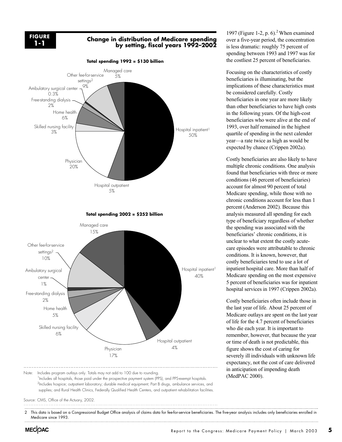

## **Change in distribution of Medicare spending by setting, fiscal years 1992–2002**



Hospital inpatient<sup>1</sup> 40% Managed care 15% Other fee-for-service settings<sup>2</sup> 10% Ambulatory surgical center 1% Free-standing dialysis 2% Home health 5% Skilled nursing facility 6% Physician 17% Hospital outpatient 4%

**Total spending 2002 = \$252 billion**

Note: Includes program outlays only. Totals may not add to 100 due to rounding. <sup>1</sup>Includes all hospitals, those paid under the prospective payment system (PPS), and PPS-exempt hospitals. <sup>2</sup>Includes hospice; outpatient laboratory; durable medical equipment; Part B drugs, ambulance services, and supplies; and Rural Health Clinics, Federally Qualified Health Centers, and outpatient rehabilitation facilities.

Source: CMS, Office of the Actuary, 2002.

2 This data is based on a Congressional Budget Office analysis of claims data for fee-for-service beneficiaries. The five-year analysis includes only beneficiaries enrolled in Medicare since 1993.

1997 (Figure 1-2, p.  $6$ ).<sup>2</sup> When examined over a five-year period, the concentration is less dramatic: roughly 75 percent of spending between 1993 and 1997 was for the costliest 25 percent of beneficiaries.

Focusing on the characteristics of costly beneficiaries is illuminating, but the implications of these characteristics must be considered carefully. Costly beneficiaries in one year are more likely than other beneficiaries to have high costs in the following years. Of the high-cost beneficiaries who were alive at the end of 1993, over half remained in the highest quartile of spending in the next calender year—a rate twice as high as would be expected by chance (Crippen 2002a).

Costly beneficiaries are also likely to have multiple chronic conditions. One analysis found that beneficiaries with three or more conditions (46 percent of beneficiaries) account for almost 90 percent of total Medicare spending, while those with no chronic conditions account for less than 1 percent (Anderson 2002). Because this analysis measured all spending for each type of beneficiary regardless of whether the spending was associated with the beneficiaries' chronic conditions, it is unclear to what extent the costly acutecare episodes were attributable to chronic conditions. It is known, however, that costly beneficiaries tend to use a lot of inpatient hospital care. More than half of Medicare spending on the most expensive 5 percent of beneficiaries was for inpatient hospital services in 1997 (Crippen 2002a).

Costly beneficiaries often include those in the last year of life. About 25 percent of Medicare outlays are spent on the last year of life for the 4.7 percent of beneficiaries who die each year. It is important to remember, however, that because the year or time of death is not predictable, this figure shows the cost of caring for severely ill individuals with unknown life expectancy, not the cost of care delivered in anticipation of impending death (MedPAC 2000).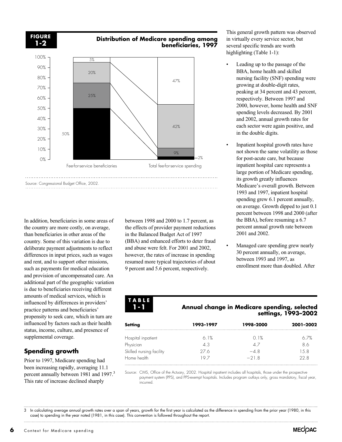

In addition, beneficiaries in some areas of the country are more costly, on average, than beneficiaries in other areas of the country. Some of this variation is due to deliberate payment adjustments to reflect differences in input prices, such as wages and rent, and to support other missions, such as payments for medical education and provision of uncompensated care. An additional part of the geographic variation is due to beneficiaries receiving different amounts of medical services, which is influenced by differences in providers' practice patterns and beneficiaries' propensity to seek care, which in turn are influenced by factors such as their health status, income, culture, and presence of supplemental coverage.

## **Spending growth**

Prior to 1997, Medicare spending had been increasing rapidly, averaging 11.1 percent annually between 1981 and 1997.<sup>3</sup> This rate of increase declined sharply

between 1998 and 2000 to 1.7 percent, as the effects of provider payment reductions in the Balanced Budget Act of 1997 (BBA) and enhanced efforts to deter fraud and abuse were felt. For 2001 and 2002, however, the rates of increase in spending resumed more typical trajectories of about 9 percent and 5.6 percent, respectively.

This general growth pattern was observed in virtually every service sector, but several specific trends are worth highlighting (Table 1-1):

- Leading up to the passage of the BBA, home health and skilled nursing facility (SNF) spending were growing at double-digit rates, peaking at 34 percent and 43 percent, respectively. Between 1997 and 2000, however, home health and SNF spending levels decreased. By 2001 and 2002, annual growth rates for each sector were again positive, and in the double digits.
- Inpatient hospital growth rates have not shown the same volatility as those for post-acute care, but because inpatient hospital care represents a large portion of Medicare spending, its growth greatly influences Medicare's overall growth. Between 1993 and 1997, inpatient hospital spending grew 6.1 percent annually, on average. Growth dipped to just 0.1 percent between 1998 and 2000 (after the BBA), before resuming a 6.7 percent annual growth rate between 2001 and 2002.
- Managed care spending grew nearly 30 percent annually, on average, between 1993 and 1997, as enrollment more than doubled. After

#### **TABLE 1-1**

## **Annual change in Medicare spending, selected settings, 1993–2002**

| Setting                  | 1993-1997 | 1998-2000 | 2001-2002 |
|--------------------------|-----------|-----------|-----------|
| Hospital inpatient       | 61%       | O 1%      | 6.7%      |
| Physician                | 4 R       | $\wedge$  | ΧА        |
| Skilled nursing facility | 2/6       | $-48$     | 1.5 8     |
| Home health              |           | $-218$    | 22 8      |

Source: CMS, Office of the Actuary, 2002. Hospital inpatient includes all hospitals, those under the prospective payment system (PPS), and PPS-exempt hospitals. Includes program outlays only, gross mandatory, fiscal year, incurred.

3 In calculating average annual growth rates over a span of years, growth for the first year is calculated as the difference in spending from the prior year (1980, in this case) to spending in the year noted (1981, in this case). This convention is followed throughout the report.

**6** Context for Medicare spending

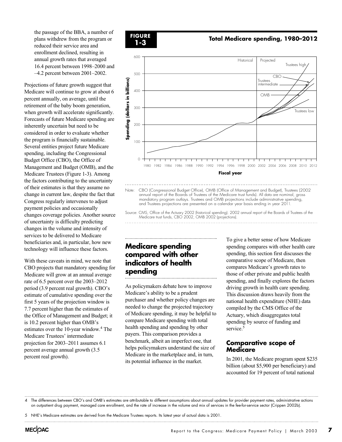the passage of the BBA, a number of plans withdrew from the program or reduced their service area and enrollment declined, resulting in annual growth rates that averaged 16.4 percent between 1998–2000 and –4.2 percent between 2001–2002.

Projections of future growth suggest that Medicare will continue to grow at about 6 percent annually, on average, until the retirement of the baby boom generation, when growth will accelerate significantly. Forecasts of future Medicare spending are inherently uncertain but need to be considered in order to evaluate whether the program is financially sustainable. Several entities project future Medicare spending, including the Congressional Budget Office (CBO), the Office of Management and Budget (OMB), and the Medicare Trustees (Figure 1-3). Among the factors contributing to the uncertainty of their estimates is that they assume no change in current law, despite the fact that Congress regularly intervenes to adjust payment policies and occasionally changes coverage policies. Another source of uncertainty is difficulty predicting changes in the volume and intensity of services to be delivered to Medicare beneficiaries and, in particular, how new technology will influence these factors.

With these caveats in mind, we note that CBO projects that mandatory spending for Medicare will grow at an annual average rate of 6.5 percent over the 2003–2012 period (3.9 percent real growth). CBO's estimate of cumulative spending over the first 5 years of the projection window is 7.7 percent higher than the estimates of the Office of Management and Budget; it is 10.2 percent higher than OMB's estimates over the 10-year window.4 The Medicare Trustees' intermediate projection for 2003–2011 assumes 6.1 percent average annual growth (3.5 percent real growth).



Note: CBO (Congressional Budget Office), OMB (Office of Management and Budget), Trustees (2002 annual report of the Boards of Trustees of the Medicare trust funds). All data are nominal, gross mandatory program outlays. Trustees and OMB projections include administrative spending, and Trustees projections are presented on a calendar year basis ending in year 2011.

Source: CMS, Office of the Actuary 2002 (historical spending). 2002 annual report of the Boards of Trustees of the Medicare trust funds, CBO 2002, OMB 2002 (projections). 

## **Medicare spending compared with other indicators of health spending**

As policymakers debate how to improve Medicare's ability to be a prudent purchaser and whether policy changes are needed to change the projected trajectory of Medicare spending, it may be helpful to compare Medicare spending with total health spending and spending by other payers. This comparison provides a benchmark, albeit an imperfect one, that helps policymakers understand the size of Medicare in the marketplace and, in turn, its potential influence in the market.

To give a better sense of how Medicare spending compares with other health care spending, this section first discusses the comparative scope of Medicare, then compares Medicare's growth rates to those of other private and public health spending, and finally explores the factors driving growth in health care spending. This discussion draws heavily from the national health expenditure (NHE) data compiled by the CMS Office of the Actuary, which disaggregates total spending by source of funding and service.<sup>5</sup>

### **Comparative scope of Medicare**

In 2001, the Medicare program spent \$235 billion (about \$5,900 per beneficiary) and accounted for 19 percent of total national

4 The differences between CBO's and OMB's estimates are attributable to different assumptions about annual updates for provider payment rates, administrative actions on outpatient drug payment, managed care enrollment, and the rate of increase in the volume and mix of services in the fee-for-service sector (Crippen 2002b).

5 NHE's Medicare estimates are derived from the Medicare Trustees reports. Its latest year of actual data is 2001.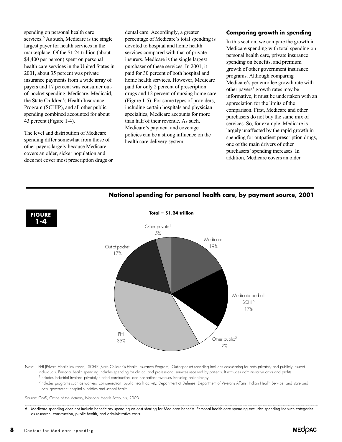spending on personal health care services.<sup>6</sup> As such, Medicare is the single largest payer for health services in the marketplace. Of the \$1.24 trillion (about \$4,400 per person) spent on personal health care services in the United States in 2001, about 35 percent was private insurance payments from a wide array of payers and 17 percent was consumer outof-pocket spending. Medicare, Medicaid, the State Children's Health Insurance Program (SCHIP), and all other public spending combined accounted for about 43 percent (Figure 1-4).

The level and distribution of Medicare spending differ somewhat from those of other payers largely because Medicare covers an older, sicker population and does not cover most prescription drugs or

dental care. Accordingly, a greater percentage of Medicare's total spending is devoted to hospital and home health services compared with that of private insurers. Medicare is the single largest purchaser of these services. In 2001, it paid for 30 percent of both hospital and home health services. However, Medicare paid for only 2 percent of prescription drugs and 12 percent of nursing home care (Figure 1-5). For some types of providers, including certain hospitals and physician specialties, Medicare accounts for more than half of their revenue. As such, Medicare's payment and coverage policies can be a strong influence on the health care delivery system.

#### **Comparing growth in spending**

In this section, we compare the growth in Medicare spending with total spending on personal health care, private insurance spending on benefits, and premium growth of other government insurance programs. Although comparing Medicare's per enrollee growth rate with other payers' growth rates may be informative, it must be undertaken with an appreciation for the limits of the comparison. First, Medicare and other purchasers do not buy the same mix of services. So, for example, Medicare is largely unaffected by the rapid growth in spending for outpatient prescription drugs, one of the main drivers of other purchasers' spending increases. In addition, Medicare covers an older



## **National spending for personal health care, by payment source, 2001**

 $<sup>1</sup>$  Includes industrial in-plant, privately funded construction, and nonpatient revenues including philanthropy.</sup> <sup>2</sup>Includes programs such as workers' compensation, public health activity, Department of Defense, Department of Veterans Affairs, Indian Health Service, and state and

local government hospital subsidies and school health.

Source: CMS, Office of the Actuary, National Health Accounts, 2003.

6 Medicare spending does not include beneficiary spending on cost sharing for Medicare benefits. Personal health care spending excludes spending for such categories as research, construction, public health, and administrative costs.

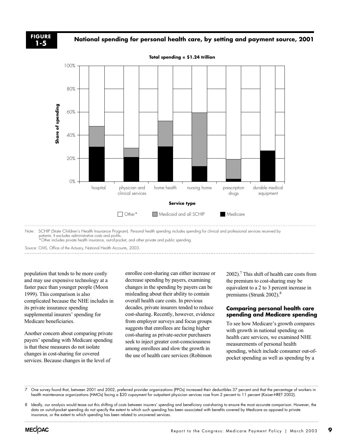## **National spending for personal health care, by setting and payment source, 2001 FIGURE**



**Total spending = \$1.24 trillion**

Source: CMS, Office of the Actuary, National Health Accounts, 2003.

population that tends to be more costly and may use expensive technology at a faster pace than younger people (Moon 1999). This comparison is also complicated because the NHE includes in its private insurance spending supplemental insurers' spending for Medicare beneficiaries.

Another concern about comparing private payers' spending with Medicare spending is that these measures do not isolate changes in cost-sharing for covered services. Because changes in the level of

enrollee cost-sharing can either increase or decrease spending by payers, examining changes in the spending by payers can be misleading about their ability to contain overall health care costs. In previous decades, private insurers tended to reduce cost-sharing. Recently, however, evidence from employer surveys and focus groups suggests that enrollees are facing higher cost-sharing as private-sector purchasers seek to inject greater cost-consciousness among enrollees and slow the growth in the use of health care services (Robinson

2002).7 This shift of health care costs from the premium to cost-sharing may be equivalent to a 2 to 3 percent increase in premiums (Strunk 2002).<sup>8</sup>

#### **Comparing personal health care spending and Medicare spending**

To see how Medicare's growth compares with growth in national spending on health care services, we examined NHE measurements of personal health spending, which include consumer out-ofpocket spending as well as spending by a

7 One survey found that, between 2001 and 2002, preferred provider organizations (PPOs) increased their deductibles 37 percent and that the percentage of workers in health maintenance organizations (HMOs) facing a \$20 copayment for outpatient physician services rose from 2 percent to 11 percent (Kaiser-HRET 2002).

8 Ideally, our analysis would tease out this shifting of costs between insurers' spending and beneficiary cost-sharing to ensure the most accurate comparison. However, the data on out-of-pocket spending do not specify the extent to which such spending has been associated with benefits covered by Medicare as opposed to private insurance, or the extent to which spending has been related to uncovered services.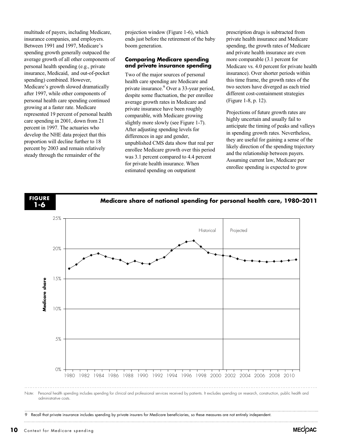multitude of payers, including Medicare, insurance companies, and employers. Between 1991 and 1997, Medicare's spending growth generally outpaced the average growth of all other components of personal health spending (e.g., private insurance, Medicaid, and out-of-pocket spending) combined. However, Medicare's growth slowed dramatically after 1997, while other components of personal health care spending continued growing at a faster rate. Medicare represented 19 percent of personal health care spending in 2001, down from 21 percent in 1997. The actuaries who develop the NHE data project that this proportion will decline further to 18 percent by 2003 and remain relatively steady through the remainder of the

projection window (Figure 1-6), which ends just before the retirement of the baby boom generation.

#### **Comparing Medicare spending and private insurance spending**

Two of the major sources of personal health care spending are Medicare and private insurance.<sup>9</sup> Over a 33-year period, despite some fluctuation, the per enrollee average growth rates in Medicare and private insurance have been roughly comparable, with Medicare growing slightly more slowly (see Figure 1-7). After adjusting spending levels for differences in age and gender, unpublished CMS data show that real per enrollee Medicare growth over this period was 3.1 percent compared to 4.4 percent for private health insurance. When estimated spending on outpatient

prescription drugs is subtracted from private health insurance and Medicare spending, the growth rates of Medicare and private health insurance are even more comparable (3.1 percent for Medicare vs. 4.0 percent for private health insurance). Over shorter periods within this time frame, the growth rates of the two sectors have diverged as each tried different cost-containment strategies (Figure 1-8, p. 12).

Projections of future growth rates are highly uncertain and usually fail to anticipate the timing of peaks and valleys in spending growth rates. Nevertheless, they are useful for gaining a sense of the likely direction of the spending trajectory and the relationship between payers. Assuming current law, Medicare per enrollee spending is expected to grow



Recall that private insurance includes spending by private insurers for Medicare beneficiaries, so these measures are not entirely independent.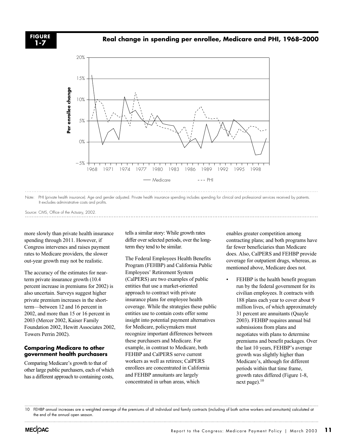## **Real change in spending per enrollee, Medicare and PHI, 1968–2000 FIGURE**



Note: PHI (private health insurance). Age and gender adjusted. Private health insurance spending includes spending for clinical and professional services received by patients. It excludes administrative costs and profits.

Source: CMS, Office of the Actuary, 2002.

more slowly than private health insurance spending through 2011. However, if Congress intervenes and raises payment rates to Medicare providers, the slower out-year growth may not be realistic.

The accuracy of the estimates for nearterm private insurance growth (10.4 percent increase in premiums for 2002) is also uncertain. Surveys suggest higher private premium increases in the shortterm—between 12 and 16 percent in 2002, and more than 15 or 16 percent in 2003 (Mercer 2002, Kaiser Family Foundation 2002, Hewitt Associates 2002, Towers Perrin 2002).

#### **Comparing Medicare to other government health purchasers**

Comparing Medicare's growth to that of other large public purchasers, each of which has a different approach to containing costs,

tells a similar story: While growth rates differ over selected periods, over the longterm they tend to be similar.

The Federal Employees Health Benefits Program (FEHBP) and California Public Employees' Retirement System (CalPERS) are two examples of public entities that use a market-oriented approach to contract with private insurance plans for employee health coverage. While the strategies these public entities use to contain costs offer some insight into potential payment alternatives for Medicare, policymakers must recognize important differences between these purchasers and Medicare. For example, in contrast to Medicare, both FEHBP and CalPERS serve current workers as well as retirees; CalPERS enrollees are concentrated in California and FEHBP annuitants are largely concentrated in urban areas, which

enables greater competition among contracting plans; and both programs have far fewer beneficiaries than Medicare does. Also, CalPERS and FEHBP provide coverage for outpatient drugs, whereas, as mentioned above, Medicare does not.

FEHBP is the health benefit program run by the federal government for its civilian employees. It contracts with 188 plans each year to cover about 9 million lives, of which approximately 31 percent are annuitants (Quayle 2003). FEHBP requires annual bid submissions from plans and negotiates with plans to determine premiums and benefit packages. Over the last 10 years, FEHBP's average growth was slightly higher than Medicare's, although for different periods within that time frame, growth rates differed (Figure 1-8, next page). $10$ 

<sup>10</sup> FEHBP annual increases are a weighted average of the premiums of all individual and family contracts (including of both active workers and annuitants) calculated at the end of the annual open season.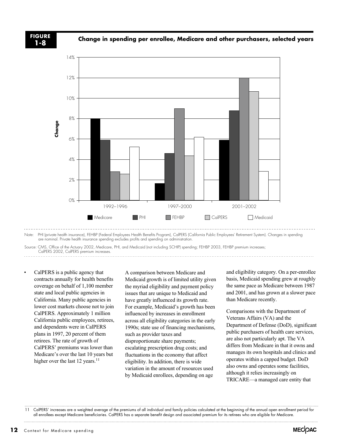**Change in spending per enrollee, Medicare and other purchasers, selected years FIGURE**



Note: PHI (private health insurance), FEHBP (Federal Employees Health Benefits Program), CalPERS (California Public Employees' Retirement System). Changes in spending are nominal. Private health insurance spending excludes profits and spending on administration.

Source: CMS, Office of the Actuary 2002, Medicare, PHI, and Medicaid (not including SCHIP) spending; FEHBP 2003, FEHBP premium increases; CalPERS 2002, CalPERS premium increases.

• CalPERS is a public agency that contracts annually for health benefits coverage on behalf of 1,100 member state and local public agencies in California. Many public agencies in lower cost markets choose not to join CalPERS. Approximately 1 million California public employees, retirees, and dependents were in CalPERS plans in 1997, 20 percent of them retirees. The rate of growth of CalPERS' premiums was lower than Medicare's over the last 10 years but higher over the last 12 years. $^{11}$ **22**<br> **12** Context for Medicare spending Context for Medicare spending Context for Medicare spending CHANG SUPERS is a public agency contrast small property context for Medicare spending to the Actory 2002 Context small pr

A comparison between Medicare and Medicaid growth is of limited utility given the myriad eligibility and payment policy issues that are unique to Medicaid and have greatly influenced its growth rate. For example, Medicaid's growth has been influenced by increases in enrollment across all eligibility categories in the early 1990s; state use of financing mechanisms, such as provider taxes and disproportionate share payments; escalating prescription drug costs; and fluctuations in the economy that affect eligibility. In addition, there is wide variation in the amount of resources used by Medicaid enrollees, depending on age

and eligibility category. On a per-enrollee basis, Medicaid spending grew at roughly the same pace as Medicare between 1987 and 2001, and has grown at a slower pace than Medicare recently.

Comparisons with the Department of Veterans Affairs (VA) and the Department of Defense (DoD), significant public purchasers of health care services, are also not particularly apt. The VA differs from Medicare in that it owns and manages its own hospitals and clinics and operates within a capped budget. DoD also owns and operates some facilities, although it relies increasingly on TRICARE—a managed care entity that

11 CalPERS' increases are a weighted average of the premiums of all individual and family policies calculated at the beginning of the annual open enrollment period for all enrollees except Medicare beneficiaries. CalPERS has a separate benefit design and associated premium for its retirees who are eligible for Medicare.

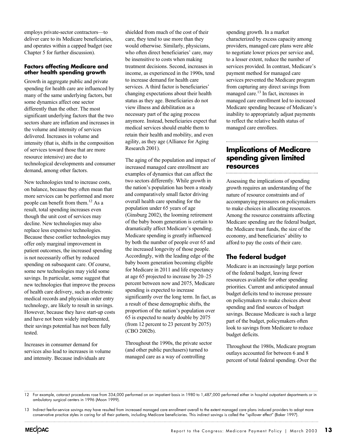employs private-sector contractors—to deliver care to its Medicare beneficiaries, and operates within a capped budget (see Chapter 5 for further discussion).

#### **Factors affecting Medicare and other health spending growth**

Growth in aggregate public and private spending for health care are influenced by many of the same underlying factors, but some dynamics affect one sector differently than the other. The most significant underlying factors that the two sectors share are inflation and increases in the volume and intensity of services delivered. Increases in volume and intensity (that is, shifts in the composition of services toward those that are more resource intensive) are due to technological developments and consumer demand, among other factors.

New technologies tend to increase costs, on balance, because they often mean that more services can be performed and more people can benefit from them.12 As a result, total spending increases even though the unit cost of services may decline. New technologies may also replace less expensive technologies. Because these costlier technologies may offer only marginal improvement in patient outcomes, the increased spending is not necessarily offset by reduced spending on subsequent care. Of course, some new technologies may yield some savings. In particular, some suggest that new technologies that improve the process of health care delivery, such as electronic medical records and physician order entry technology, are likely to result in savings. However, because they have start-up costs and have not been widely implemented, their savings potential has not been fully tested.

Increases in consumer demand for services also lead to increases in volume and intensity. Because individuals are

shielded from much of the cost of their care, they tend to use more than they would otherwise. Similarly, physicians, who often direct beneficiaries' care, may be insensitive to costs when making treatment decisions. Second, increases in income, as experienced in the 1990s, tend to increase demand for health care services. A third factor is beneficiaries' changing expectations about their health status as they age. Beneficiaries do not view illness and debilitation as a necessary part of the aging process anymore. Instead, beneficiaries expect that medical services should enable them to retain their health and mobility, and even agility, as they age (Alliance for Aging Research 2001).

The aging of the population and impact of increased managed care enrollment are examples of dynamics that can affect the two sectors differently. While growth in the nation's population has been a steady and comparatively small factor driving overall health care spending for the population under 65 years of age (Ginsburg 2002), the looming retirement of the baby boom generation is certain to dramatically affect Medicare's spending. Medicare spending is greatly influenced by both the number of people over 65 and the increased longevity of those people. Accordingly, with the leading edge of the baby boom generation becoming eligible for Medicare in 2011 and life expectancy at age 65 projected to increase by 20–25 percent between now and 2075, Medicare spending is expected to increase significantly over the long term. In fact, as a result of these demographic shifts, the proportion of the nation's population over 65 is expected to nearly double by 2075 (from 12 percent to 23 percent by 2075) (CBO 2002b).

Throughout the 1990s, the private sector (and other public purchasers) turned to managed care as a way of controlling

spending growth. In a market characterized by excess capacity among providers, managed care plans were able to negotiate lower prices per service and, to a lesser extent, reduce the number of services provided. In contrast, Medicare's payment method for managed care services prevented the Medicare program from capturing any direct savings from managed care.13 In fact, increases in managed care enrollment led to increased Medicare spending because of Medicare's inability to appropriately adjust payments to reflect the relative health status of managed care enrollees.

## **Implications of Medicare spending given limited resources**

Assessing the implications of spending growth requires an understanding of the nature of resource constraints and of accompanying pressures on policymakers to make choices in allocating resources. Among the resource constraints affecting Medicare spending are the federal budget, the Medicare trust funds, the size of the economy, and beneficiaries' ability to afford to pay the costs of their care.

## **The federal budget**

Medicare is an increasingly large portion of the federal budget, leaving fewer resources available for other spending priorities. Current and anticipated annual budget deficits tend to increase pressure on policymakers to make choices about spending and find sources of budget savings. Because Medicare is such a large part of the budget, policymakers often look to savings from Medicare to reduce budget deficits.

Throughout the 1980s, Medicare program outlays accounted for between 6 and 8 percent of total federal spending. Over the

12 For example, cataract procedures rose from 334,000 performed on an impatient basis in 1980 to 1,487,000 performed either in hospital outpatient departments or in ambulatory surgical centers in 1996 (Moon 1999).

<sup>13</sup> Indirect fee-for-service savings may have resulted from increased managed care enrollment overall to the extent managed care plans induced providers to adopt more conservative practice styles in caring for all their patients, including Medicare beneficiaries. This indirect savings is called the "spillover effect" (Baker 1997).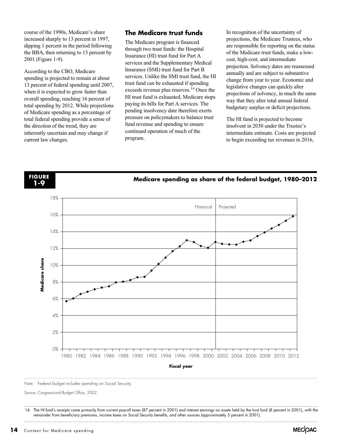course of the 1990s, Medicare's share increased sharply to 13 percent in 1997, dipping 1 percent in the period following the BBA, then returning to 13 percent by 2001 (Figure 1-9).

According to the CBO, Medicare spending is projected to remain at about 13 percent of federal spending until 2007, when it is expected to grow faster than overall spending, reaching 16 percent of total spending by 2012. While projections of Medicare spending as a percentage of total federal spending provide a sense of the direction of the trend, they are inherently uncertain and may change if current law changes.

## **The Medicare trust funds**

The Medicare program is financed through two trust funds: the Hospital Insurance (HI) trust fund for Part A services and the Supplementary Medical Insurance (SMI) trust fund for Part B services. Unlike the SMI trust fund, the HI trust fund can be exhausted if spending exceeds revenue plus reserves.<sup>14</sup> Once the HI trust fund is exhausted, Medicare stops paying its bills for Part A services. The pending insolvency date therefore exerts pressure on policymakers to balance trust fund revenue and spending to ensure continued operation of much of the program.

In recognition of the uncertainty of projections, the Medicare Trustees, who are responsible for reporting on the status of the Medicare trust funds, make a lowcost, high-cost, and intermediate projection. Solvency dates are reassessed annually and are subject to substantive change from year to year. Economic and legislative changes can quickly alter projections of solvency, in much the same way that they alter total annual federal budgetary surplus or deficit projections.

The HI fund is projected to become insolvent in 2030 under the Trustee's intermediate estimate. Costs are projected to begin exceeding tax revenues in 2016,



Note: Federal budget includes spending on Social Security.

Source: Congressional Budget Office, 2002.

14 The HI fund's receipts come primarily from current payroll taxes (87 percent in 2001) and interest earnings on assets held by the trust fund (8 percent in 2001), with the remainder from beneficiary premiums, income taxes on Social Security benefits, and other sources (approximately 5 percent in 2001).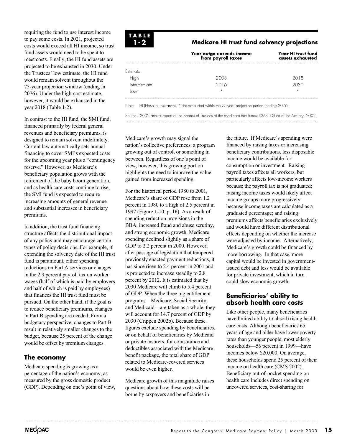requiring the fund to use interest income to pay some costs. In 2021, projected costs would exceed all HI income, so trust fund assets would need to be spent to meet costs. Finally, the HI fund assets are projected to be exhausted in 2030. Under the Trustees' low estimate, the HI fund would remain solvent throughout the 75-year projection window (ending in 2076). Under the high-cost estimate, however, it would be exhausted in the year 2018 (Table 1-2).

In contrast to the HI fund, the SMI fund, financed primarily by federal general revenues and beneficiary premiums, is designed to remain solvent indefinitely. Current law automatically sets annual financing to cover SMI's expected costs for the upcoming year plus a "contingency reserve." However, as Medicare's beneficiary population grows with the retirement of the baby boom generation, and as health care costs continue to rise, the SMI fund is expected to require increasing amounts of general revenue and substantial increases in beneficiary premiums.

In addition, the trust fund financing structure affects the distributional impact of any policy and may encourage certain types of policy decisions. For example, if extending the solvency date of the HI trust fund is paramount, either spending reductions on Part A services or changes in the 2.9 percent payroll tax on worker wages (half of which is paid by employers and half of which is paid by employees) that finances the HI trust fund must be pursued. On the other hand, if the goal is to reduce beneficiary premiums, changes in Part B spending are needed. From a budgetary perspective, changes to Part B result in relatively smaller changes to the budget, because 25 percent of the change would be offset by premium changes.

## **The economy**

Medicare spending is growing as a percentage of the nation's economy, as measured by the gross domestic product (GDP). Depending on one's point of view,



#### **Medicare HI trust fund solvency projections**

|              | Year outgo exceeds income<br>from payroll taxes | Year HI trust fund<br>assets exhausted |
|--------------|-------------------------------------------------|----------------------------------------|
| Estimate     |                                                 |                                        |
| High         | 2008                                            | 2018                                   |
| Intermediate | 2016                                            | 2030                                   |
|              | $\star$                                         | $\star$                                |

Note: HI (Hospital Insurance). \*Not exhausted within the 75-year projection period (ending 2076).

Source: 2002 annual report of the Boards of Trustees of the Medicare trust funds; CMS, Office of the Actuary, 2002.

Medicare's growth may signal the nation's collective preferences, a program growing out of control, or something in between. Regardless of one's point of view, however, this growing portion highlights the need to improve the value gained from increased spending.

For the historical period 1980 to 2001, Medicare's share of GDP rose from 1.2 percent in 1980 to a high of 2.5 percent in 1997 (Figure 1-10, p. 16). As a result of spending reduction provisions in the BBA, increased fraud and abuse scrutiny, and strong economic growth, Medicare spending declined slightly as a share of GDP to 2.2 percent in 2000. However, after passage of legislation that tempered previously enacted payment reductions, it has since risen to 2.4 percent in 2001 and is projected to increase steadily to 2.8 percent by 2012. It is estimated that by 2030 Medicare will climb to 5.4 percent of GDP. When the three big entitlement programs—Medicare, Social Security, and Medicaid—are taken as a whole, they will account for 14.7 percent of GDP by 2030 (Crippen 2002b). Because these figures exclude spending by beneficiaries, or on behalf of beneficiaries by Medicaid or private insurers, for coinsurance and deductibles associated with the Medicare benefit package, the total share of GDP related to Medicare-covered services would be even higher.

Medicare growth of this magnitude raises questions about how these costs will be borne by taxpayers and beneficiaries in

the future. If Medicare's spending were financed by raising taxes or increasing beneficiary contributions, less disposable income would be available for consumption or investment. Raising payroll taxes affects all workers, but particularly affects low-income workers because the payroll tax is not graduated; raising income taxes would likely affect income groups more progressively because income taxes are calculated as a graduated percentage; and raising premiums affects beneficiaries exclusively and would have different distributional effects depending on whether the increase were adjusted by income. Alternatively, Medicare's growth could be financed by more borrowing. In that case, more capital would be invested in governmentissued debt and less would be available for private investment, which in turn could slow economic growth.

### **Beneficiaries' ability to absorb health care costs**

Like other people, many beneficiaries have limited ability to absorb rising health care costs. Although beneficiaries 65 years of age and older have lower poverty rates than younger people, most elderly households—56 percent in 1999—have incomes below \$20,000. On average, these households spend 25 percent of their income on health care (CMS 2002). Beneficiary out-of-pocket spending on health care includes direct spending on uncovered services, cost-sharing for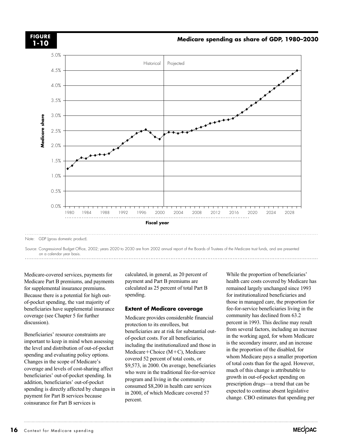

Note: GDP (gross domestic product).

Source: Congressional Budget Office, 2002; years 2020 to 2030 are from 2002 annual report of the Boards of Trustees of the Medicare trust funds, and are presented on a calendar year basis.

Medicare-covered services, payments for Medicare Part B premiums, and payments for supplemental insurance premiums. Because there is a potential for high outof-pocket spending, the vast majority of beneficiaries have supplemental insurance coverage (see Chapter 5 for further discussion).

Beneficiaries' resource constraints are important to keep in mind when assessing the level and distribution of out-of-pocket spending and evaluating policy options. Changes in the scope of Medicare's coverage and levels of cost-sharing affect beneficiaries' out-of-pocket spending. In addition, beneficiaries' out-of-pocket spending is directly affected by changes in payment for Part B services because coinsurance for Part B services is

calculated, in general, as 20 percent of payment and Part B premiums are calculated as 25 percent of total Part B spending.

#### **Extent of Medicare coverage**

Medicare provides considerable financial protection to its enrollees, but beneficiaries are at risk for substantial outof-pocket costs. For all beneficiaries, including the institutionalized and those in Medicare+Choice (M+C), Medicare covered 52 percent of total costs, or \$9,573, in 2000. On average, beneficiaries who were in the traditional fee-for-service program and living in the community consumed \$8,200 in health care services in 2000, of which Medicare covered 57 percent.

While the proportion of beneficiaries' health care costs covered by Medicare has remained largely unchanged since 1993 for institutionalized beneficiaries and those in managed care, the proportion for fee-for-service beneficiaries living in the community has declined from 63.2 percent in 1993. This decline may result from several factors, including an increase in the working aged, for whom Medicare is the secondary insurer, and an increase in the proportion of the disabled, for whom Medicare pays a smaller proportion of total costs than for the aged. However, much of this change is attributable to growth in out-of-pocket spending on prescription drugs—a trend that can be expected to continue absent legislative change. CBO estimates that spending per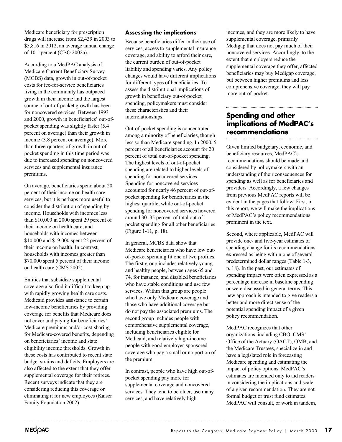Medicare beneficiary for prescription drugs will increase from \$2,439 in 2003 to \$5,816 in 2012, an average annual change of 10.1 percent (CBO 2002a).

According to a MedPAC analysis of Medicare Current Beneficiary Survey (MCBS) data, growth in out-of-pocket costs for fee-for-service beneficiaries living in the community has outpaced growth in their income and the largest source of out-of-pocket growth has been for noncovered services. Between 1993 and 2000, growth in beneficiaries' out-ofpocket spending was slightly faster (5.4 percent on average) than their growth in income (3.8 percent on average). More than three-quarters of growth in out-ofpocket spending in this time period was due to increased spending on noncovered services and supplemental insurance premiums.

On average, beneficiaries spend about 20 percent of their income on health care services, but it is perhaps more useful to consider the distribution of spending by income. Households with incomes less than \$10,000 in 2000 spent 29 percent of their income on health care, and households with incomes between \$10,000 and \$19,000 spent 22 percent of their income on health. In contrast, households with incomes greater than \$70,000 spent 5 percent of their income on health care (CMS 2002).

Entities that subsidize supplemental coverage also find it difficult to keep up with rapidly growing health care costs. Medicaid provides assistance to certain low-income beneficiaries by providing coverage for benefits that Medicare does not cover and paying for beneficiaries' Medicare premiums and/or cost-sharing for Medicare-covered benefits, depending on beneficiaries' income and state eligibility income thresholds. Growth in these costs has contributed to recent state budget strains and deficits. Employers are also affected to the extent that they offer supplemental coverage for their retirees. Recent surveys indicate that they are considering reducing this coverage or eliminating it for new employees (Kaiser Family Foundation 2002).

#### **Assessing the implications**

Because beneficiaries differ in their use of services, access to supplemental insurance coverage, and ability to afford their care, the current burden of out-of-pocket liability and spending varies. Any policy changes would have different implications for different types of beneficiaries. To assess the distributional implications of growth in beneficiary out-of-pocket spending, policymakers must consider these characteristics and their interrelationships.

Out-of-pocket spending is concentrated among a minority of beneficiaries, though less so than Medicare spending. In 2000, 5 percent of all beneficiaries account for 20 percent of total out-of-pocket spending. The highest levels of out-of-pocket spending are related to higher levels of spending for noncovered services. Spending for noncovered services accounted for nearly 46 percent of out-ofpocket spending for beneficiaries in the highest quartile, while out-of-pocket spending for noncovered services hovered around 30–35 percent of total out-ofpocket spending for all other beneficiaries (Figure 1-11, p. 18).

In general, MCBS data show that Medicare beneficiaries who have low outof-pocket spending fit one of two profiles. The first group includes relatively young and healthy people, between ages 65 and 74, for instance, and disabled beneficiaries who have stable conditions and use few services. Within this group are people who have only Medicare coverage and those who have additional coverage but do not pay the associated premiums. The second group includes people with comprehensive supplemental coverage, including beneficiaries eligible for Medicaid, and relatively high-income people with good employer-sponsored coverage who pay a small or no portion of the premium.

In contrast, people who have high out-ofpocket spending pay more for supplemental coverage and noncovered services. They tend to be older, use many services, and have relatively high

incomes, and they are more likely to have supplemental coverage, primarily Medigap that does not pay much of their noncovered services. Accordingly, to the extent that employers reduce the supplemental coverage they offer, affected beneficiaries may buy Medigap coverage, but between higher premiums and less comprehensive coverage, they will pay more out-of-pocket.

## **Spending and other implications of MedPAC's recommendations**

Given limited budgetary, economic, and beneficiary resources, MedPAC's recommendations should be made and considered by policymakers with an understanding of their consequences for spending as well as for beneficiaries and providers. Accordingly, a few changes from previous MedPAC reports will be evident in the pages that follow. First, in this report, we will make the implications of MedPAC's policy recommendations prominent in the text.

Second, where applicable, MedPAC will provide one- and five-year estimates of spending change for its recommendations, expressed as being within one of several predetermined dollar ranges (Table 1-3, p. 18). In the past, our estimates of spending impact were often expressed as a percentage increase in baseline spending or were discussed in general terms. This new approach is intended to give readers a better and more direct sense of the potential spending impact of a given policy recommendation.

MedPAC recognizes that other organizations, including CBO, CMS' Office of the Actuary (OACT), OMB, and the Medicare Trustees, specialize in and have a legislated role in forecasting Medicare spending and estimating the impact of policy options. MedPAC's estimates are intended only to aid readers in considering the implications and scale of a given recommendation. They are not formal budget or trust fund estimates. MedPAC will consult, or work in tandem,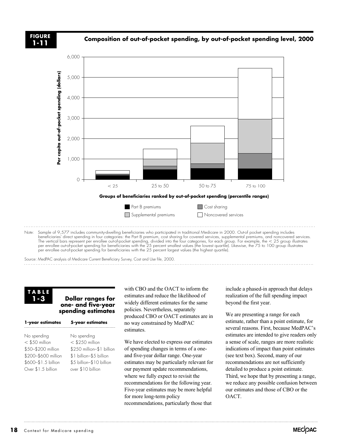

Source: MedPAC analysis of Medicare Current Beneficiary Survey, Cost and Use file, 2000.

**TABLE 1-3**

#### **Dollar ranges for one- and five-year spending estimates**

| No spending<br>$<$ \$250 million<br>\$250 million-\$1 billion<br>\$1 billion-\$5 billion<br>\$5 billion-\$10 billion<br>over \$10 billion |
|-------------------------------------------------------------------------------------------------------------------------------------------|
|                                                                                                                                           |

with CBO and the OACT to inform the estimates and reduce the likelihood of widely different estimates for the same policies. Nevertheless, separately produced CBO or OACT estimates are in no way constrained by MedPAC estimates.

We have elected to express our estimates of spending changes in terms of a oneand five-year dollar range. One-year estimates may be particularly relevant for our payment update recommendations, where we fully expect to revisit the recommendations for the following year. Five-year estimates may be more helpful for more long-term policy recommendations, particularly those that

include a phased-in approach that delays realization of the full spending impact beyond the first year.

We are presenting a range for each estimate, rather than a point estimate, for several reasons. First, because MedPAC's estimates are intended to give readers only a sense of scale, ranges are more realistic indications of impact than point estimates (see text box). Second, many of our recommendations are not sufficiently detailed to produce a point estimate. Third, we hope that by presenting a range, we reduce any possible confusion between our estimates and those of CBO or the OACT.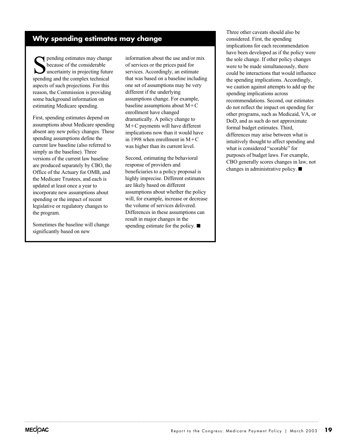## **Why spending estimates may change**

Spending estimates may change<br>because of the considerable<br>spending and the complex technical because of the considerable uncertainty in projecting future spending and the complex technical aspects of such projections. For this reason, the Commission is providing some background information on estimating Medicare spending.

First, spending estimates depend on assumptions about Medicare spending absent any new policy changes. These spending assumptions define the current law baseline (also referred to simply as the baseline). Three versions of the current law baseline are produced separately by CBO, the Office of the Actuary for OMB, and the Medicare Trustees, and each is updated at least once a year to incorporate new assumptions about spending or the impact of recent legislative or regulatory changes to the program.

Sometimes the baseline will change significantly based on new

information about the use and/or mix of services or the prices paid for services. Accordingly, an estimate that was based on a baseline including one set of assumptions may be very different if the underlying assumptions change. For example, baseline assumptions about M-C enrollment have changed dramatically. A policy change to M-C payments will have different implications now than it would have in 1998 when enrollment in  $M+C$ was higher than its current level.

Second, estimating the behavioral response of providers and beneficiaries to a policy proposal is highly imprecise. Different estimates are likely based on different assumptions about whether the policy will, for example, increase or decrease the volume of services delivered. Differences in these assumptions can result in major changes in the spending estimate for the policy.  $\blacksquare$ 

Three other caveats should also be considered. First, the spending implications for each recommendation have been developed as if the policy were the sole change. If other policy changes were to be made simultaneously, there could be interactions that would influence the spending implications. Accordingly, we caution against attempts to add up the spending implications across recommendations. Second, our estimates do not reflect the impact on spending for other programs, such as Medicaid, VA, or DoD, and as such do not approximate formal budget estimates. Third, differences may arise between what is intuitively thought to affect spending and what is considered "scorable" for purposes of budget laws. For example, CBO generally scores changes in law, not changes in administrative policy.  $\blacksquare$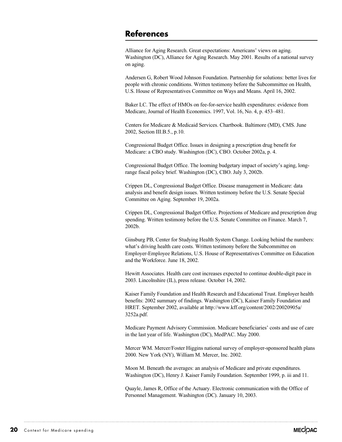## **References**

Alliance for Aging Research. Great expectations: Americans' views on aging. Washington (DC), Alliance for Aging Research. May 2001. Results of a national survey on aging.

Andersen G, Robert Wood Johnson Foundation. Partnership for solutions: better lives for people with chronic conditions. Written testimony before the Subcommittee on Health, U.S. House of Representatives Committee on Ways and Means. April 16, 2002.

Baker LC. The effect of HMOs on fee-for-service health expenditures: evidence from Medicare, Journal of Health Economics. 1997, Vol. 16, No. 4, p. 453–481.

Centers for Medicare & Medicaid Services. Chartbook. Baltimore (MD), CMS. June 2002, Section III.B.5., p.10.

Congressional Budget Office. Issues in designing a prescription drug benefit for Medicare: a CBO study. Washington (DC), CBO. October 2002a, p. 4.

Congressional Budget Office. The looming budgetary impact of society's aging, longrange fiscal policy brief. Washington (DC), CBO. July 3, 2002b.

Crippen DL, Congressional Budget Office. Disease management in Medicare: data analysis and benefit design issues. Written testimony before the U.S. Senate Special Committee on Aging. September 19, 2002a.

Crippen DL, Congressional Budget Office. Projections of Medicare and prescription drug spending. Written testimony before the U.S. Senate Committee on Finance. March 7, 2002b.

Ginsburg PB, Center for Studying Health System Change. Looking behind the numbers: what's driving health care costs. Written testimony before the Subcommittee on Employer-Employee Relations, U.S. House of Representatives Committee on Education and the Workforce. June 18, 2002.

Hewitt Associates. Health care cost increases expected to continue double-digit pace in 2003. Lincolnshire (IL), press release. October 14, 2002.

Kaiser Family Foundation and Health Research and Educational Trust. Employer health benefits: 2002 summary of findings. Washington (DC), Kaiser Family Foundation and HRET. September 2002, available at http://www.kff.org/content/2002/20020905a/ 3252a.pdf.

Medicare Payment Advisory Commission. Medicare beneficiaries' costs and use of care in the last year of life. Washington (DC), MedPAC. May 2000.

Mercer WM. Mercer/Foster Higgins national survey of employer-sponsored health plans 2000. New York (NY), William M. Mercer, Inc. 2002.

Moon M. Beneath the averages: an analysis of Medicare and private expenditures. Washington (DC), Henry J. Kaiser Family Foundation. September 1999, p. iii and 11.

Quayle, James R, Office of the Actuary. Electronic communication with the Office of Personnel Management. Washington (DC). January 10, 2003.